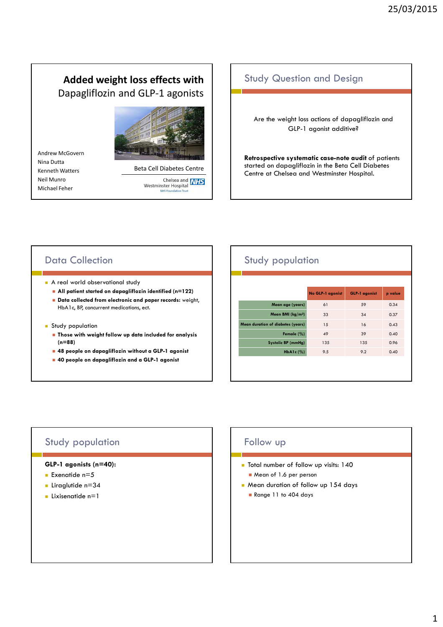# **Added weight loss effects with** Dapagliflozin and GLP-1 agonists

Andrew McGovern Nina Dutta Kenneth Watters Neil Munro Michael Feher



Beta Cell Diabetes Centre

Chelsea and **NHS**<br>Westminster Hospital **NHS Fou** 

### Study Question and Design

Are the weight loss actions of dapagliflozin and GLP-1 agonist additive?

**Retrospective systematic case-note audit** of patients started on dapagliflozin in the Beta Cell Diabetes Centre at Chelsea and Westminster Hospital.

## Data Collection

- **A** real world observational study
	- **All patient started on dapagliflozin identified (n=122)**
	- **Data collected from electronic and paper records:** weight, HbA1c, BP, concurrent medications, ect.
- **Study population** 
	- **Those with weight follow up data included for analysis (n=88)**
	- **48 people on dapagliflozin without a GLP-1 agonist**
	- **40 people on dapagliflozin and a GLP-1 agonist**

# Study population

|                                     | No GLP-1 agonist | <b>GLP-1 agonist</b> | p value |
|-------------------------------------|------------------|----------------------|---------|
| Mean age (years)                    | 61               | 59                   | 0.34    |
| Mean BMI ( $\text{kg}/\text{m}^2$ ) | 33               | 34                   | 0.37    |
| Mean duration of diabetes (years)   | 15               | 16                   | 0.43    |
| Female $(\% )$                      | 49               | 39                   | 0.40    |
| Systolic BP (mmHg)                  | 135              | 135                  | 0.96    |
| HbA1c $(%)$                         | 9.5              | 9.2                  | 0.40    |
|                                     |                  |                      |         |

### Study population

### **GLP-1 agonists (n=40):**

- **Exenatide n=5**
- **Liraglutide n=34**
- $\blacksquare$ Lixisenatide n=1

### Follow up

- Total number of follow up visits: 140
	- Mean of 1.6 per person
- Mean duration of follow up 154 days
	- Range 11 to 404 days